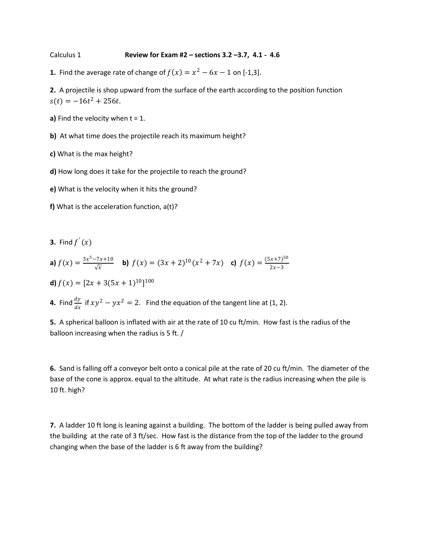Calculus 1 **Review for Exam #2 – sections 3.2 –3.7, 4.1 - 4.6**

**1.** Find the average rate of change of  $f(x) = x^2 - 6x - 1$  on [-1,3].

**2.** A projectile is shop upward from the surface of the earth according to the position function  $s(t) = -16t^2 + 256t$ .

**a)** Find the velocity when  $t = 1$ .

**b)** At what time does the projectile reach its maximum height?

**c)** What is the max height?

**d)** How long does it take for the projectile to reach the ground?

**e)** What is the velocity when it hits the ground?

**f)** What is the acceleration function, a(t)?

**3.** Find  $f'(x)$ 

**a)** 
$$
f(x) = \frac{3x^5 - 7x + 10}{\sqrt{x}}
$$
 **b)**  $f(x) = (3x + 2)^{10}(x^2 + 7x)$  **c)**  $f(x) = \frac{(5x + 7)^{50}}{2x - 3}$ 

**d)**  $f(x) = [2x + 3(5x + 1)^{10}]^{100}$ 

**4.** Find  $\frac{dy}{dx}$  if  $xy^2 - yx^2 = 2$ . Find the equation of the tangent line at (1, 2).

**5.** A spherical balloon is inflated with air at the rate of 10 cu ft/min. How fast is the radius of the balloon increasing when the radius is 5 ft. /

**6.** Sand is falling off a conveyor belt onto a conical pile at the rate of 20 cu ft/min. The diameter of the base of the cone is approx. equal to the altitude. At what rate is the radius increasing when the pile is 10 ft. high?

**7.** A ladder 10 ft long is leaning against a building. The bottom of the ladder is being pulled away from the building at the rate of 3 ft/sec. How fast is the distance from the top of the ladder to the ground changing when the base of the ladder is 6 ft away from the building?